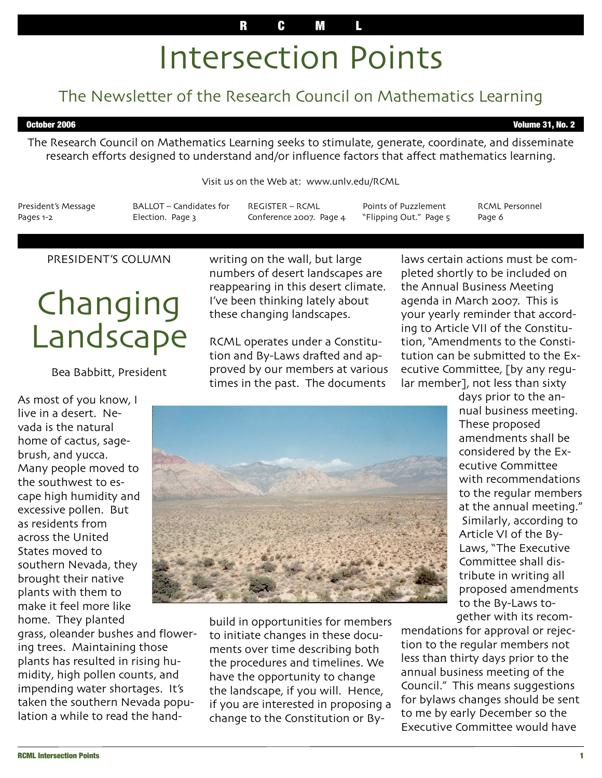### R C M L

# Intersection Points

## The Newsletter of the Research Council on Mathematics Learning

October 2006 Volume 31, No. 2

The Research Council on Mathematics Learning seeks to stimulate, generate, coordinate, and disseminate research efforts designed to understand and/or influence factors that affect mathematics learning.

Visit us on the Web at: www.unlv.edu/RCML

President's Message Pages 1-2

BALLOT – Candidates for Election. Page 3

REGISTER – RCML Conference 2007. Page 4

Points of Puzzlement "Flipping Out." Page 5

RCML Personnel Page 6

#### PRESIDENT'S COLUMN

## **Changing** Landscape

#### Bea Babbitt, President

As most of you know, I live in a desert. Nevada is the natural home of cactus, sagebrush, and yucca. Many people moved to the southwest to escape high humidity and excessive pollen. But as residents from across the United States moved to southern Nevada, they brought their native plants with them to make it feel more like home. They planted

grass, oleander bushes and flowering trees. Maintaining those plants has resulted in rising humidity, high pollen counts, and impending water shortages. It's taken the southern Nevada population a while to read the handwriting on the wall, but large numbers of desert landscapes are reappearing in this desert climate. I've been thinking lately about these changing landscapes.

RCML operates under a Constitution and By-Laws drafted and approved by our members at various times in the past. The documents

laws certain actions must be completed shortly to be included on the Annual Business Meeting agenda in March 2007. This is your yearly reminder that according to Article VII of the Constitution, "Amendments to the Constitution can be submitted to the Executive Committee, [by any regular member], not less than sixty



build in opportunities for members to initiate changes in these documents over time describing both the procedures and timelines. We have the opportunity to change the landscape, if you will. Hence, if you are interested in proposing a change to the Constitution or By-

days prior to the annual business meeting. These proposed amendments shall be considered by the Executive Committee with recommendations to the regular members at the annual meeting." Similarly, according to Article VI of the By-Laws, "The Executive Committee shall distribute in writing all proposed amendments to the By-Laws together with its recom-

mendations for approval or rejection to the regular members not less than thirty days prior to the annual business meeting of the Council." This means suggestions for bylaws changes should be sent to me by early December so the Executive Committee would have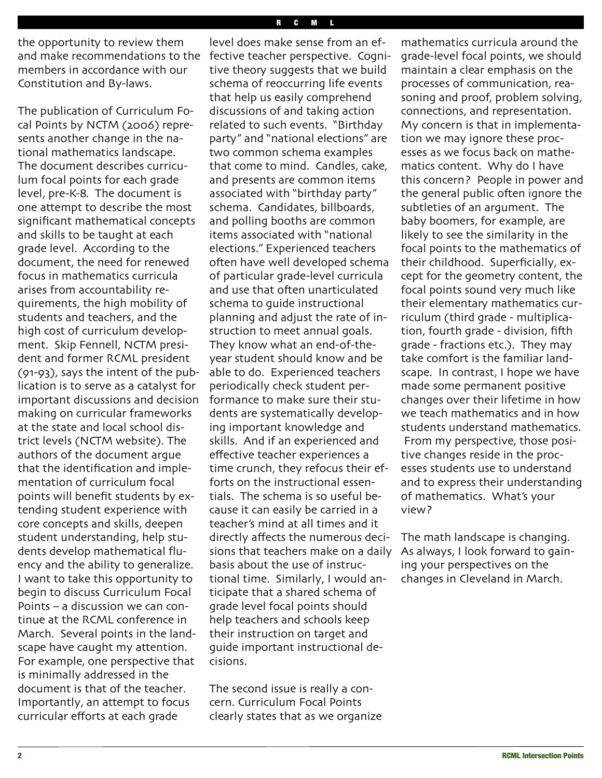the opportunity to review them and make recommendations to the members in accordance with our Constitution and By-laws.

The publication of Curriculum Focal Points by NCTM (2006) represents another change in the national mathematics landscape. The document describes curriculum focal points for each grade level, pre-K-8. The document is one attempt to describe the most significant mathematical concepts and skills to be taught at each grade level. According to the document, the need for renewed focus in mathematics curricula arises from accountability requirements, the high mobility of students and teachers, and the high cost of curriculum development. Skip Fennell, NCTM president and former RCML president (91-93), says the intent of the publication is to serve as a catalyst for important discussions and decision making on curricular frameworks at the state and local school district levels (NCTM website). The authors of the document argue that the identification and implementation of curriculum focal points will benefit students by extending student experience with core concepts and skills, deepen student understanding, help students develop mathematical fluency and the ability to generalize. I want to take this opportunity to begin to discuss Curriculum Focal Points – a discussion we can continue at the RCML conference in March. Several points in the landscape have caught my attention. For example, one perspective that is minimally addressed in the document is that of the teacher. Importantly, an attempt to focus curricular efforts at each grade

level does make sense from an effective teacher perspective. Cognitive theory suggests that we build schema of reoccurring life events that help us easily comprehend discussions of and taking action related to such events. "Birthday party" and "national elections" are two common schema examples that come to mind. Candles, cake, and presents are common items associated with "birthday party" schema. Candidates, billboards, and polling booths are common items associated with "national elections." Experienced teachers often have well developed schema of particular grade-level curricula and use that often unarticulated schema to guide instructional planning and adjust the rate of instruction to meet annual goals. They know what an end-of-theyear student should know and be able to do. Experienced teachers periodically check student performance to make sure their students are systematically developing important knowledge and skills. And if an experienced and effective teacher experiences a time crunch, they refocus their efforts on the instructional essentials. The schema is so useful because it can easily be carried in a teacher's mind at all times and it directly affects the numerous decisions that teachers make on a daily basis about the use of instructional time. Similarly, I would anticipate that a shared schema of grade level focal points should help teachers and schools keep their instruction on target and guide important instructional decisions.

The second issue is really a concern. Curriculum Focal Points clearly states that as we organize

mathematics curricula around the grade-level focal points, we should maintain a clear emphasis on the processes of communication, reasoning and proof, problem solving, connections, and representation. My concern is that in implementation we may ignore these processes as we focus back on mathematics content. Why do I have this concern? People in power and the general public often ignore the subtleties of an argument. The baby boomers, for example, are likely to see the similarity in the focal points to the mathematics of their childhood. Superficially, except for the geometry content, the focal points sound very much like their elementary mathematics curriculum (third grade - multiplication, fourth grade - division, fifth grade - fractions etc.). They may take comfort is the familiar landscape. In contrast, I hope we have made some permanent positive changes over their lifetime in how we teach mathematics and in how students understand mathematics. From my perspective, those positive changes reside in the processes students use to understand and to express their understanding of mathematics. What's your view?

The math landscape is changing. As always, I look forward to gaining your perspectives on the changes in Cleveland in March.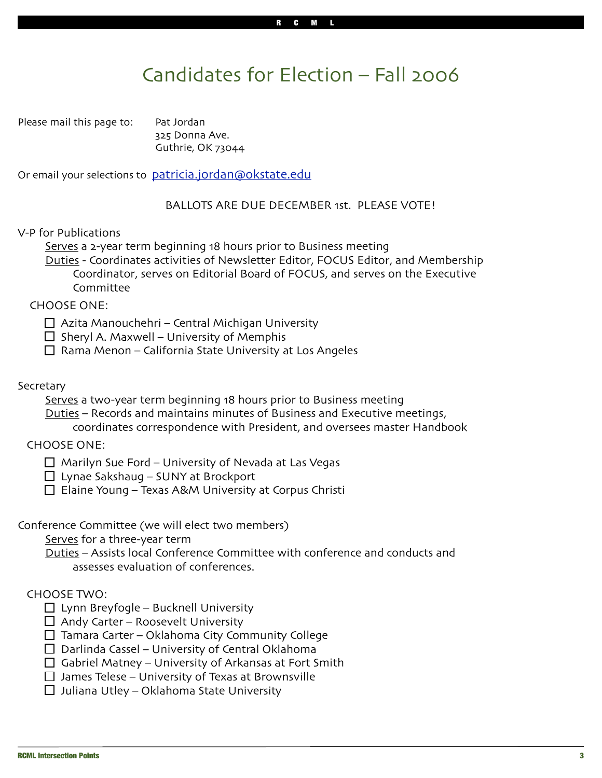## Candidates for Election – Fall 2006

Please mail this page to: Pat Jordan

325 Donna Ave. Guthrie, OK 73044

Or email your selections to patricia.jordan@okstate.edu

#### BALLOTS ARE DUE DECEMBER 1st. PLEASE VOTE!

V-P for Publications

Serves a 2-year term beginning 18 hours prior to Business meeting

Duties - Coordinates activities of Newsletter Editor, FOCUS Editor, and Membership Coordinator, serves on Editorial Board of FOCUS, and serves on the Executive Committee

CHOOSE ONE:

 $\Box$  Azita Manouchehri – Central Michigan University

 $\Box$  Sheryl A. Maxwell – University of Memphis

 $\Box$  Rama Menon – California State University at Los Angeles

#### **Secretary**

Serves a two-year term beginning 18 hours prior to Business meeting

Duties – Records and maintains minutes of Business and Executive meetings,

coordinates correspondence with President, and oversees master Handbook

CHOOSE ONE:

 $\Box$  Marilyn Sue Ford – University of Nevada at Las Vegas

□ Lynae Sakshaug – SUNY at Brockport

 $\Box$  Elaine Young – Texas A&M University at Corpus Christi

Conference Committee (we will elect two members)

Serves for a three-year term

Duties – Assists local Conference Committee with conference and conducts and assesses evaluation of conferences.

### CHOOSE TWO:

 $\Box$  Lynn Breyfogle – Bucknell University

 $\Box$  Andy Carter – Roosevelt University

 $\Box$  Tamara Carter – Oklahoma City Community College

- $\Box$  Darlinda Cassel University of Central Oklahoma
- $\Box$  Gabriel Matney University of Arkansas at Fort Smith

 $\Box$  James Telese – University of Texas at Brownsville

 $\Box$  Juliana Utley – Oklahoma State University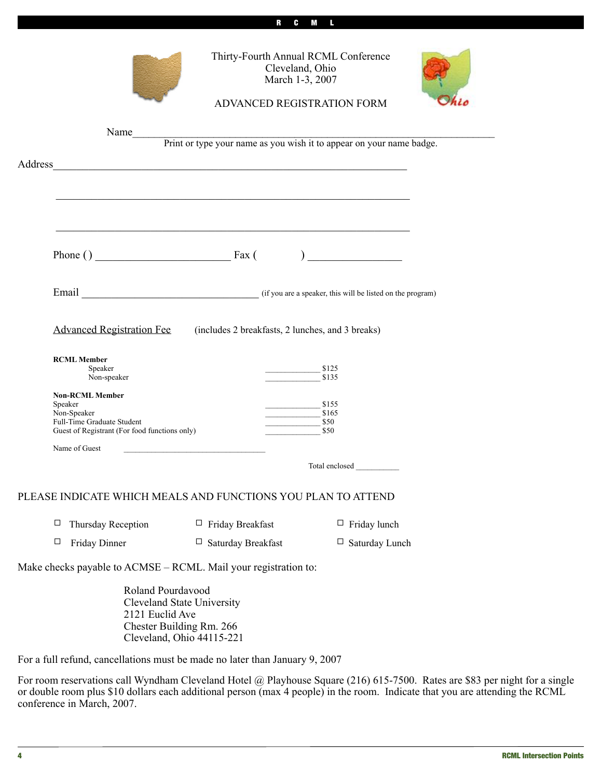|         | Thirty-Fourth Annual RCML Conference<br>Cleveland, Ohio<br>March 1-3, 2007<br>ADVANCED REGISTRATION FORM                                     |                           |                                                            |                                                                                                                      |  |
|---------|----------------------------------------------------------------------------------------------------------------------------------------------|---------------------------|------------------------------------------------------------|----------------------------------------------------------------------------------------------------------------------|--|
|         | Name<br>Print or type your name as you wish it to appear on your name badge.<br><u> 1980 - Johann John Stein, marwolaethau (b. 1980)</u>     |                           |                                                            |                                                                                                                      |  |
| Address |                                                                                                                                              |                           |                                                            |                                                                                                                      |  |
|         |                                                                                                                                              |                           |                                                            |                                                                                                                      |  |
|         |                                                                                                                                              |                           |                                                            | <u> 1989 - Johann Barbara, marka masjid a shekara ta 1989 - An tsara ta 1989 - An tsara ta 1989 - An tsara ta 19</u> |  |
|         | <u> 1989 - Johann Harry Harry Harry Harry Harry Harry Harry Harry Harry Harry Harry Harry Harry Harry Harry Harry</u>                        |                           |                                                            |                                                                                                                      |  |
|         |                                                                                                                                              |                           |                                                            |                                                                                                                      |  |
|         |                                                                                                                                              |                           |                                                            |                                                                                                                      |  |
|         | Email (if you are a speaker, this will be listed on the program)                                                                             |                           |                                                            |                                                                                                                      |  |
|         | Advanced Registration Fee (includes 2 breakfasts, 2 lunches, and 3 breaks)<br><b>RCML Member</b><br>Speaker<br>\$125<br>Non-speaker<br>\$135 |                           |                                                            |                                                                                                                      |  |
|         | <b>Non-RCML Member</b><br>Speaker<br>Non-Speaker<br>Full-Time Graduate Student<br>Guest of Registrant (For food functions only)              |                           | $\frac{\$155}{\$155}$<br>$\frac{\text{S165}}{\text{S165}}$ | \$50<br>\$50                                                                                                         |  |
|         | Name of Guest                                                                                                                                |                           |                                                            |                                                                                                                      |  |
|         | Total enclosed                                                                                                                               |                           |                                                            |                                                                                                                      |  |
|         | PLEASE INDICATE WHICH MEALS AND FUNCTIONS YOU PLAN TO ATTEND                                                                                 |                           |                                                            |                                                                                                                      |  |
|         | Thursday Reception<br>□                                                                                                                      | $\Box$ Friday Breakfast   |                                                            | $\Box$ Friday lunch                                                                                                  |  |
|         | $\Box$<br>Friday Dinner                                                                                                                      | $\Box$ Saturday Breakfast |                                                            | $\Box$ Saturday Lunch                                                                                                |  |
|         | Make checks payable to ACMSE - RCML. Mail your registration to:                                                                              |                           |                                                            |                                                                                                                      |  |
|         | Roland Pourdavood<br><b>Cleveland State University</b><br>2121 Euclid Ave<br>Chester Building Rm. 266<br>Cleveland, Ohio 44115-221           |                           |                                                            |                                                                                                                      |  |

C M

For a full refund, cancellations must be made no later than January 9, 2007

For room reservations call Wyndham Cleveland Hotel @ Playhouse Square (216) 615-7500. Rates are \$83 per night for a single or double room plus \$10 dollars each additional person (max 4 people) in the room. Indicate that you are attending the RCML conference in March, 2007.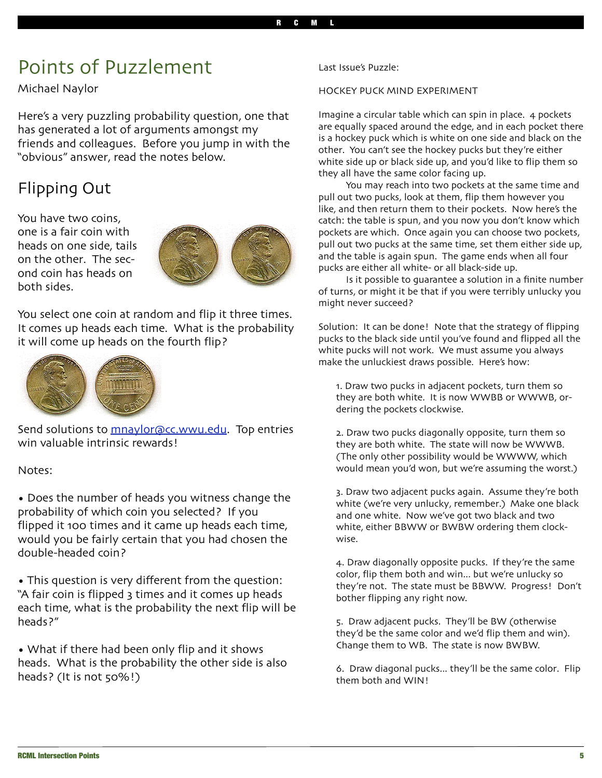## Points of Puzzlement

Michael Naylor

Here's a very puzzling probability question, one that has generated a lot of arguments amongst my friends and colleagues. Before you jump in with the "obvious" answer, read the notes below.

## Flipping Out

You have two coins, one is a fair coin with heads on one side, tails on the other. The second coin has heads on both sides.



You select one coin at random and flip it three times. It comes up heads each time. What is the probability it will come up heads on the fourth flip?



Send solutions to mnaylor@cc.wwu.edu. Top entries win valuable intrinsic rewards!

Notes:

• Does the number of heads you witness change the probability of which coin you selected? If you flipped it 100 times and it came up heads each time, would you be fairly certain that you had chosen the double-headed coin?

• This question is very different from the question: "A fair coin is flipped 3 times and it comes up heads each time, what is the probability the next flip will be heads?"

• What if there had been only flip and it shows heads. What is the probability the other side is also heads? (It is not 50%!)

#### Last Issue's Puzzle:

#### HOCKEY PUCK MIND EXPERIMENT

Imagine a circular table which can spin in place. 4 pockets are equally spaced around the edge, and in each pocket there is a hockey puck which is white on one side and black on the other. You can't see the hockey pucks but they're either white side up or black side up, and you'd like to flip them so they all have the same color facing up.

You may reach into two pockets at the same time and pull out two pucks, look at them, flip them however you like, and then return them to their pockets. Now here's the catch: the table is spun, and you now you don't know which pockets are which. Once again you can choose two pockets, pull out two pucks at the same time, set them either side up, and the table is again spun. The game ends when all four pucks are either all white- or all black-side up.

Is it possible to guarantee a solution in a finite number of turns, or might it be that if you were terribly unlucky you might never succeed?

Solution: It can be done! Note that the strategy of flipping pucks to the black side until you've found and flipped all the white pucks will not work. We must assume you always make the unluckiest draws possible. Here's how:

1. Draw two pucks in adjacent pockets, turn them so they are both white. It is now WWBB or WWWB, ordering the pockets clockwise.

2. Draw two pucks diagonally opposite, turn them so they are both white. The state will now be WWWB. (The only other possibility would be WWWW, which would mean you'd won, but we're assuming the worst.)

3. Draw two adjacent pucks again. Assume they're both white (we're very unlucky, remember.) Make one black and one white. Now we've got two black and two white, either BBWW or BWBW ordering them clockwise.

4. Draw diagonally opposite pucks. If they're the same color, flip them both and win... but we're unlucky so they're not. The state must be BBWW. Progress! Don't bother flipping any right now.

5. Draw adjacent pucks. They'll be BW (otherwise they'd be the same color and we'd flip them and win). Change them to WB. The state is now BWBW.

6. Draw diagonal pucks... they'll be the same color. Flip them both and WIN!